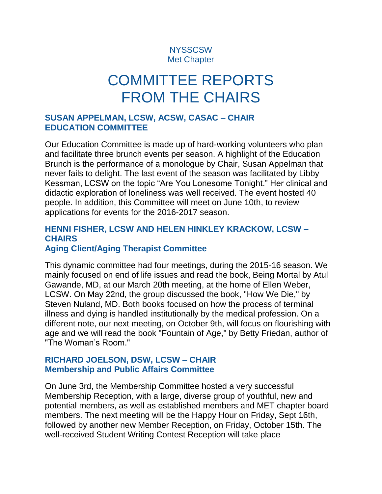## **NYSSCSW** Met Chapter

# COMMITTEE REPORTS FROM THE CHAIRS

### **SUSAN APPELMAN, LCSW, ACSW, CASAC – CHAIR EDUCATION COMMITTEE**

Our Education Committee is made up of hard-working volunteers who plan and facilitate three brunch events per season. A highlight of the Education Brunch is the performance of a monologue by Chair, Susan Appelman that never fails to delight. The last event of the season was facilitated by Libby Kessman, LCSW on the topic "Are You Lonesome Tonight." Her clinical and didactic exploration of loneliness was well received. The event hosted 40 people. In addition, this Committee will meet on June 10th, to review applications for events for the 2016-2017 season.

#### **HENNI FISHER, LCSW AND HELEN HINKLEY KRACKOW, LCSW – CHAIRS Aging Client/Aging Therapist Committee**

This dynamic committee had four meetings, during the 2015-16 season. We mainly focused on end of life issues and read the book, Being Mortal by Atul Gawande, MD, at our March 20th meeting, at the home of Ellen Weber, LCSW. On May 22nd, the group discussed the book, "How We Die," by Steven Nuland, MD. Both books focused on how the process of terminal illness and dying is handled institutionally by the medical profession. On a different note, our next meeting, on October 9th, will focus on flourishing with age and we will read the book "Fountain of Age," by Betty Friedan, author of "The Woman's Room."

### **RICHARD JOELSON, DSW, LCSW – CHAIR Membership and Public Affairs Committee**

On June 3rd, the Membership Committee hosted a very successful Membership Reception, with a large, diverse group of youthful, new and potential members, as well as established members and MET chapter board members. The next meeting will be the Happy Hour on Friday, Sept 16th, followed by another new Member Reception, on Friday, October 15th. The well-received Student Writing Contest Reception will take place